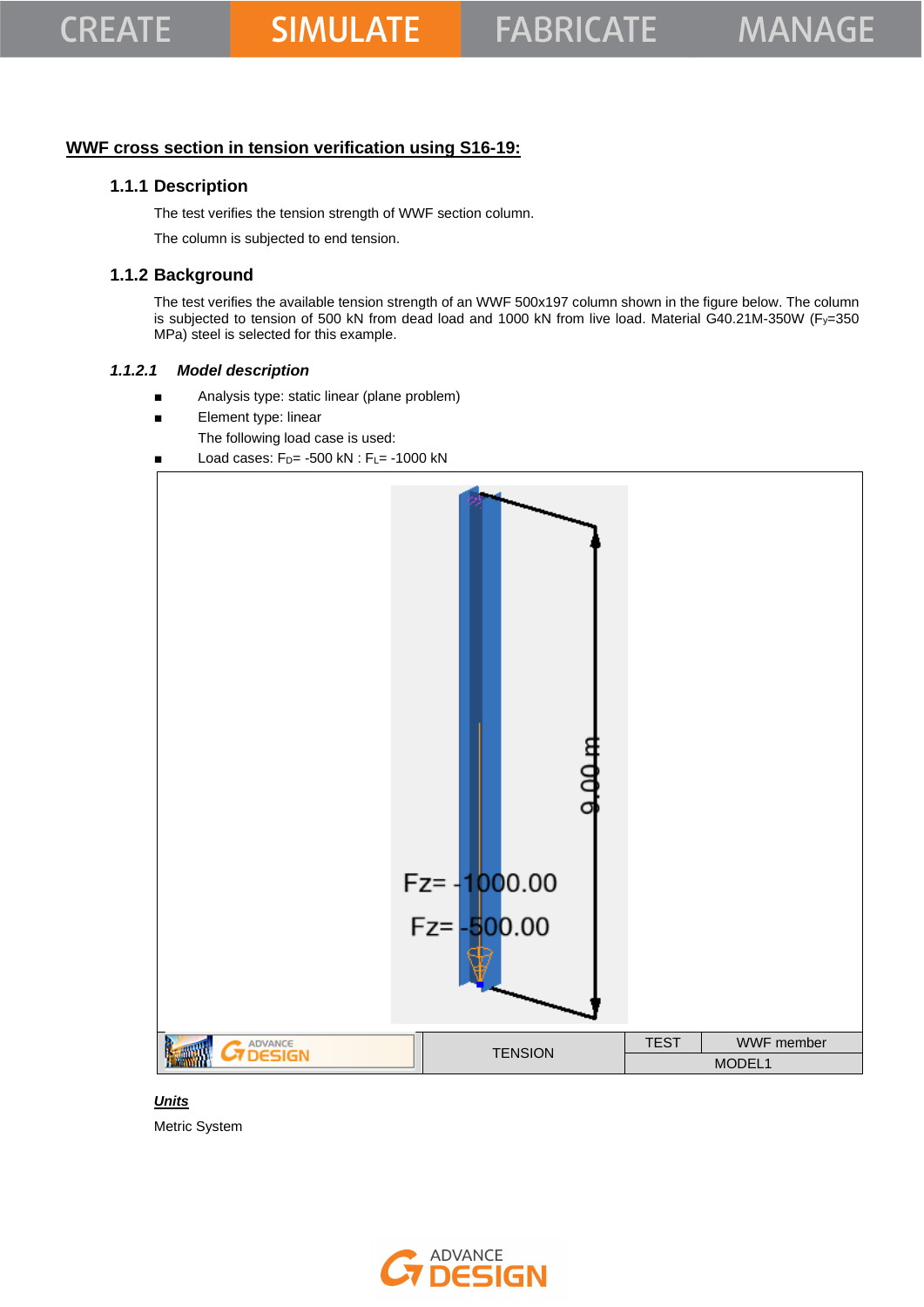### **WWF cross section in tension verification using S16-19:**

### **1.1.1 Description**

The test verifies the tension strength of WWF section column.

The column is subjected to end tension.

## **1.1.2 Background**

The test verifies the available tension strength of an WWF 500x197 column shown in the figure below. The column is subjected to tension of 500 kN from dead load and 1000 kN from live load. Material G40.21M-350W (Fy=350 MPa) steel is selected for this example.

#### *1.1.2.1 Model description*

- Analysis type: static linear (plane problem)
- Element type: linear
	- The following load case is used:
- Load cases:  $F_D$  = -500 kN :  $F_L$  = -1000 kN



#### *Units*

Metric System

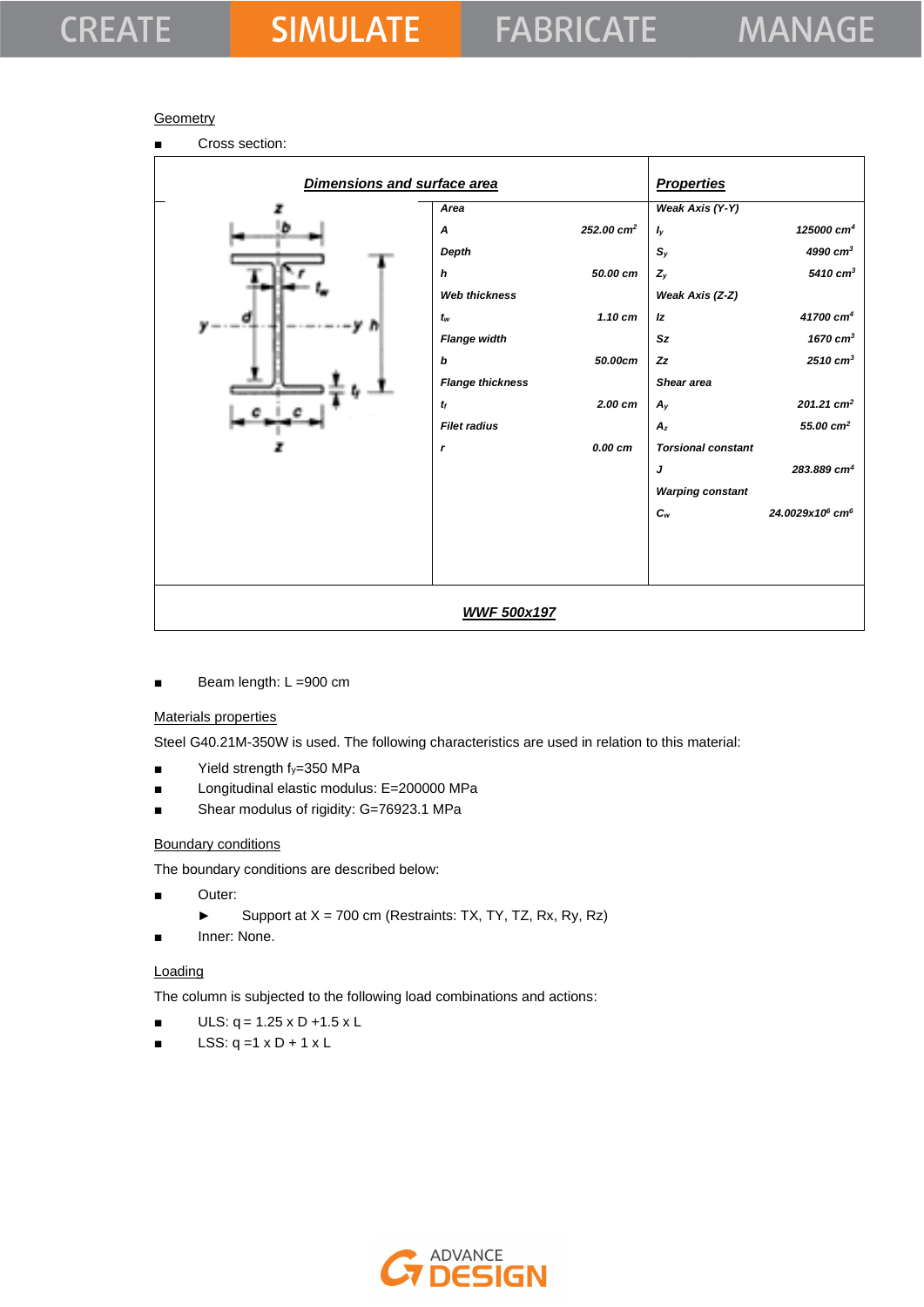## **CREATE**

## **Geometry**

■ Cross section: *Dimensions and surface area Properties Area A 252.00 cm<sup>2</sup> Depth h 50.00 cm Web thickness tw 1.10 cm Flange width b 50.00cm Flange thickness tf 2.00 cm Filet radius r 0.00 cm Weak Axis (Y-Y) Iy 125000 cm<sup>4</sup>*   $S_y$  4990 *cm<sup>3</sup> Zy 5410 cm<sup>3</sup> Weak Axis (Z-Z) Iz 41700 cm<sup>4</sup> Sz 1670 cm<sup>3</sup> Zz 2510 cm<sup>3</sup> Shear area*  $A_y$  201.21 cm<sup>2</sup> *Az 55.00 cm<sup>2</sup> Torsional constant J 283.889 cm<sup>4</sup> Warping constant Cw 24.0029x10<sup>6</sup> cm<sup>6</sup> WWF 500x197*

Beam length: L =900 cm

### Materials properties

Steel G40.21M-350W is used. The following characteristics are used in relation to this material:

- Yield strength fy=350 MPa
- Longitudinal elastic modulus: E=200000 MPa
- Shear modulus of rigidity: G=76923.1 MPa

#### Boundary conditions

The boundary conditions are described below:

- Outer:
	- ► Support at X = 700 cm (Restraints: TX, TY, TZ, Rx, Ry, Rz)
- Inner: None.

#### **Loading**

The column is subjected to the following load combinations and actions:

- $ULS: q = 1.25 \times D + 1.5 \times L$
- LSS:  $q = 1 \times D + 1 \times L$

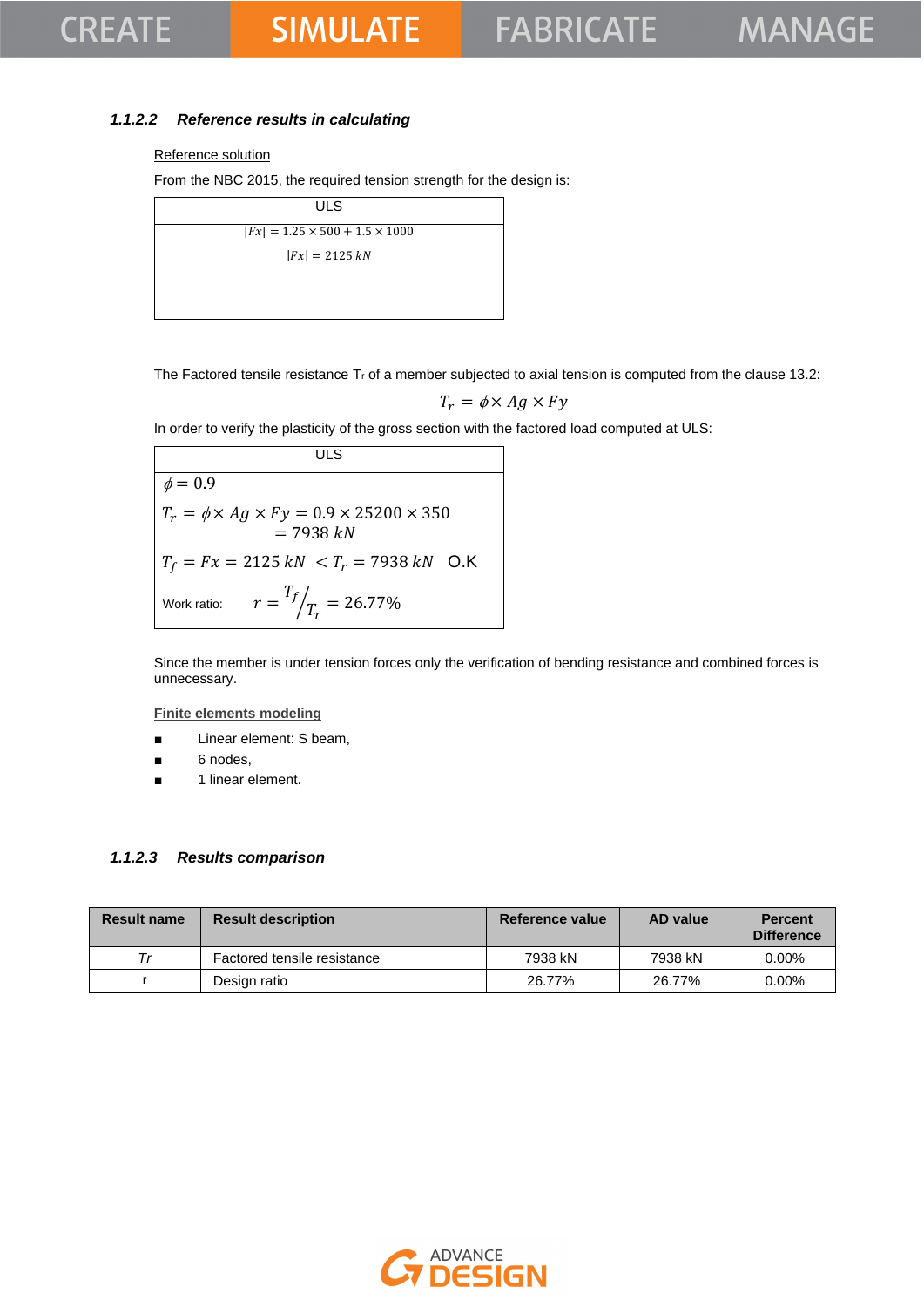## **CREATE**

## **SIMULATE**

### *1.1.2.2 Reference results in calculating*

#### Reference solution

From the NBC 2015, the required tension strength for the design is:

| <b>ULS</b>                                 |  |
|--------------------------------------------|--|
| $ Fx  = 1.25 \times 500 + 1.5 \times 1000$ |  |
| $ Fx  = 2125 kN$                           |  |
|                                            |  |
|                                            |  |

The Factored tensile resistance  $T_r$  of a member subjected to axial tension is computed from the clause 13.2:

$$
T_r = \phi \times Ag \times Fy
$$

In order to verify the plasticity of the gross section with the factored load computed at ULS:

**ULS**  $\phi = 0.\overline{9}$  $T_r = \phi \times Ag \times Fy = 0.9 \times 25200 \times 350$  $= 7938 kN$  $T_f = Fx = 2125 kN < T_r = 7938 kN$  O.K Work ratio:  $T_f$  $\sqrt{T_r} = 26.77\%$ 

Since the member is under tension forces only the verification of bending resistance and combined forces is unnecessary.

**Finite elements modeling**

- Linear element: S beam,
- 6 nodes,
- 1 linear element.

#### *1.1.2.3 Results comparison*

| <b>Result name</b> | <b>Result description</b>   | Reference value | AD value | <b>Percent</b><br><b>Difference</b> |
|--------------------|-----------------------------|-----------------|----------|-------------------------------------|
|                    | Factored tensile resistance | 7938 kN         | 7938 kN  | $0.00\%$                            |
|                    | Design ratio                | 26.77%          | 26.77%   | $0.00\%$                            |